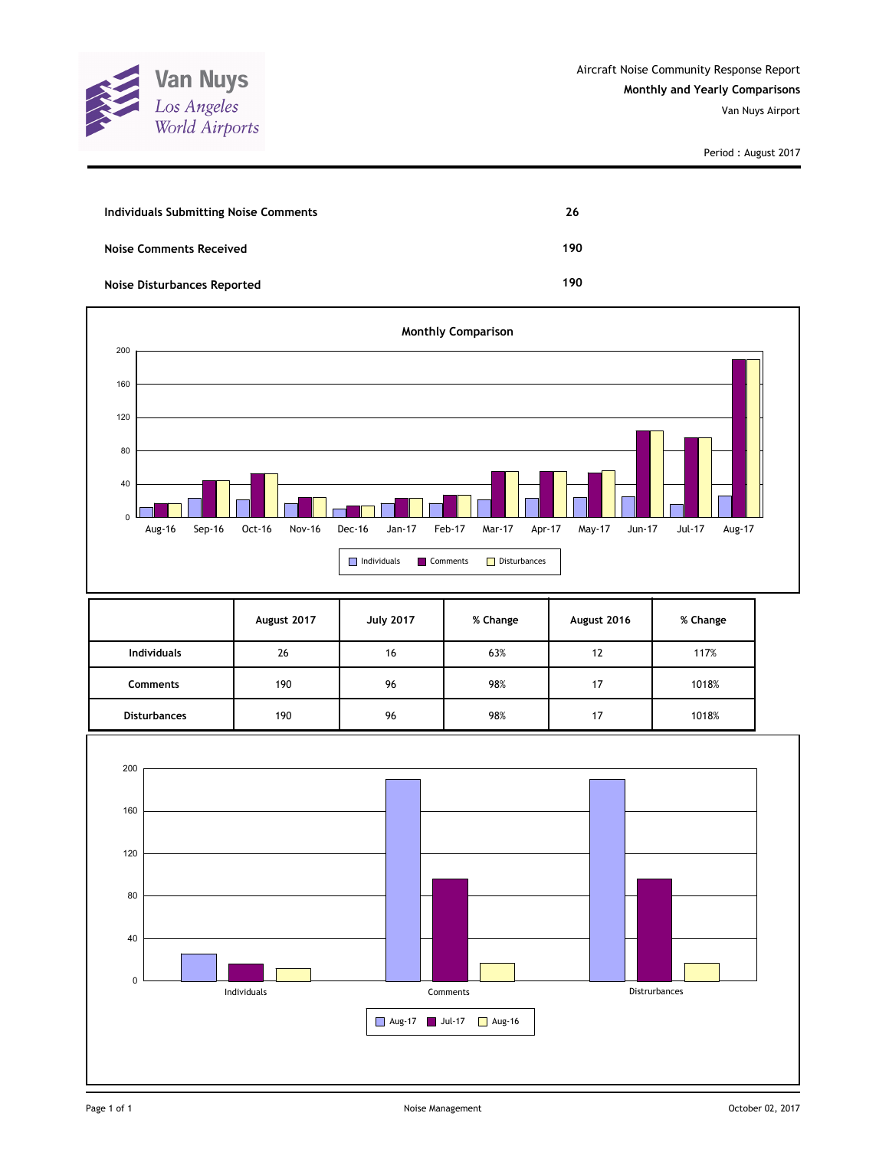

| <b>Individuals Submitting Noise Comments</b> | 26  |
|----------------------------------------------|-----|
| <b>Noise Comments Received</b>               | 190 |
| <b>Noise Disturbances Reported</b>           | 190 |



|                     | August 2017 | <b>July 2017</b> | % Change | August 2016 | % Change |
|---------------------|-------------|------------------|----------|-------------|----------|
| <b>Individuals</b>  | 26          | 16               | 63%      | 12          | 117%     |
| <b>Comments</b>     | 190         | 96               | 98%      | 17          | 1018%    |
| <b>Disturbances</b> | 190         | 96               | 98%      | 17          | 1018%    |

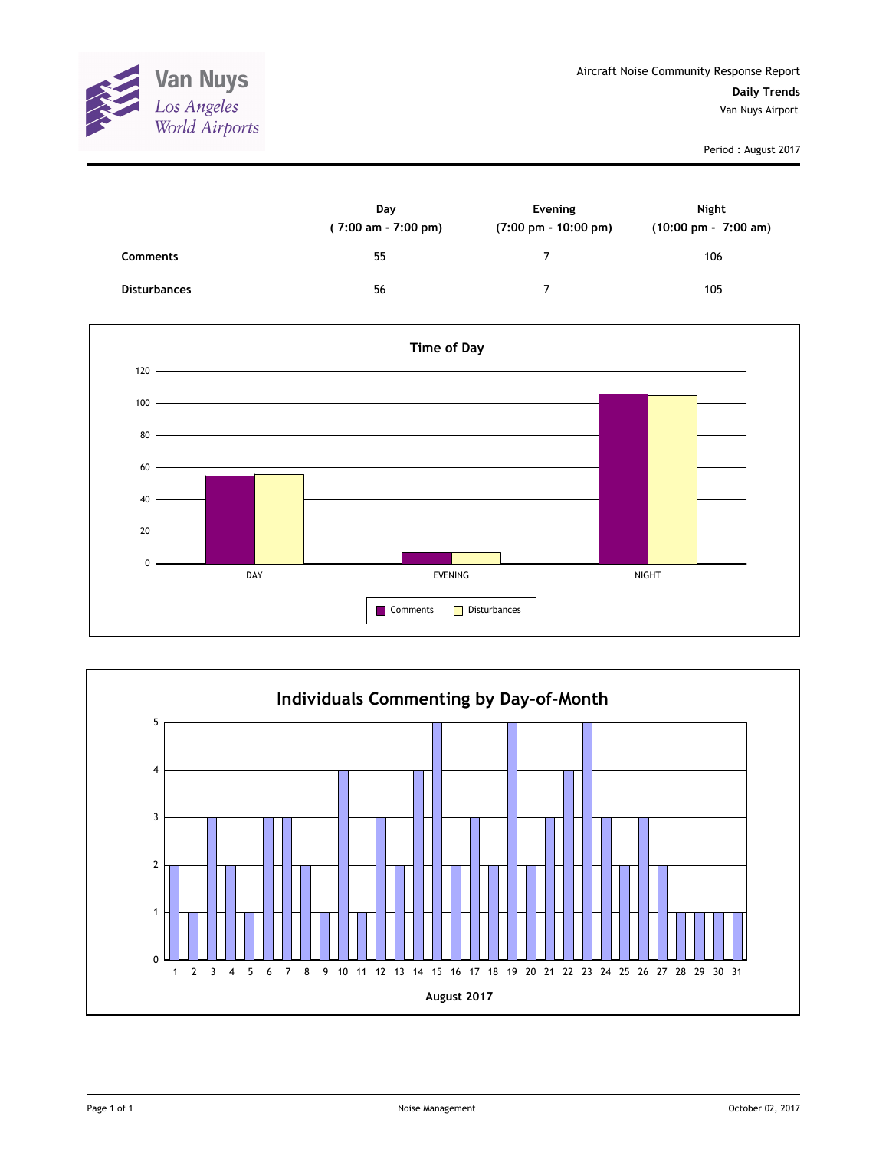

|                     | Day<br>(7:00 am - 7:00 pm) | Evening<br>$(7:00 \text{ pm} - 10:00 \text{ pm})$ | Night<br>$(10:00 \text{ pm} - 7:00 \text{ am})$ |
|---------------------|----------------------------|---------------------------------------------------|-------------------------------------------------|
| <b>Comments</b>     | 55                         |                                                   | 106                                             |
| <b>Disturbances</b> | 56                         |                                                   | 105                                             |



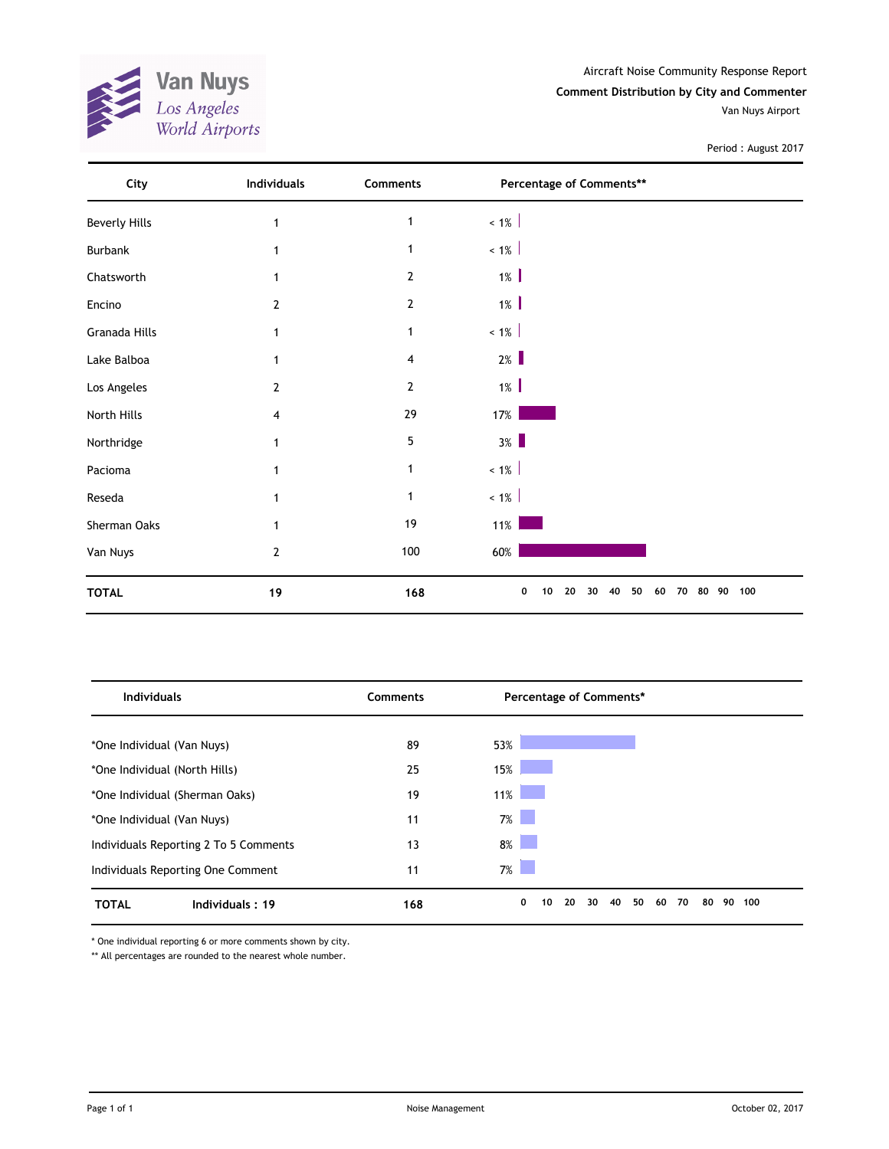

Aircraft Noise Community Response Report

**Comment Distribution by City and Commenter**

Van Nuys Airport

Period : August 2017

| City                 | Individuals    | Comments       | Percentage of Comments**                             |     |
|----------------------|----------------|----------------|------------------------------------------------------|-----|
| <b>Beverly Hills</b> | 1              | $\mathbf{1}$   | $< 1\%$                                              |     |
| <b>Burbank</b>       | 1              | $\mathbf{1}$   | $< 1\%$                                              |     |
| Chatsworth           | 1              | $\overline{2}$ | $1\%$                                                |     |
| Encino               | $\overline{2}$ | $\overline{2}$ | $1\%$                                                |     |
| Granada Hills        | 1              | $\mathbf 1$    | $~1\%$                                               |     |
| Lake Balboa          | 1              | 4              | $2\%$                                                |     |
| Los Angeles          | 2              | $\overline{2}$ | $1\%$                                                |     |
| North Hills          | 4              | 29             | 17%                                                  |     |
| Northridge           | 1              | 5              | $3\%$                                                |     |
| Pacioma              | 1              | 1              | $~1\%$                                               |     |
| Reseda               |                | $\mathbf{1}$   | $~1\%$                                               |     |
| Sherman Oaks         |                | 19             | $11\%$                                               |     |
| Van Nuys             | $\overline{2}$ | 100            | 60%                                                  |     |
| <b>TOTAL</b>         | 19             | 168            | 50<br>80 90<br>0<br>10<br>20<br>40<br>60<br>70<br>30 | 100 |

| <b>Individuals</b>                    | Comments | Percentage of Comments*                     |                 |  |  |
|---------------------------------------|----------|---------------------------------------------|-----------------|--|--|
|                                       |          |                                             |                 |  |  |
| *One Individual (Van Nuys)            | 89       | 53%                                         |                 |  |  |
| *One Individual (North Hills)         | 25       | 15%                                         |                 |  |  |
| *One Individual (Sherman Oaks)        | 19       | 11%                                         |                 |  |  |
| *One Individual (Van Nuys)            | 11       | $7\%$                                       |                 |  |  |
| Individuals Reporting 2 To 5 Comments | 13       | $8\%$                                       |                 |  |  |
| Individuals Reporting One Comment     | 11       | $7\%$                                       |                 |  |  |
| <b>TOTAL</b><br>Individuals: 19       | 168      | 0<br>20<br>50<br>10<br>30<br>40<br>70<br>60 | 80<br>90<br>100 |  |  |

\* One individual reporting 6 or more comments shown by city.

\*\* All percentages are rounded to the nearest whole number.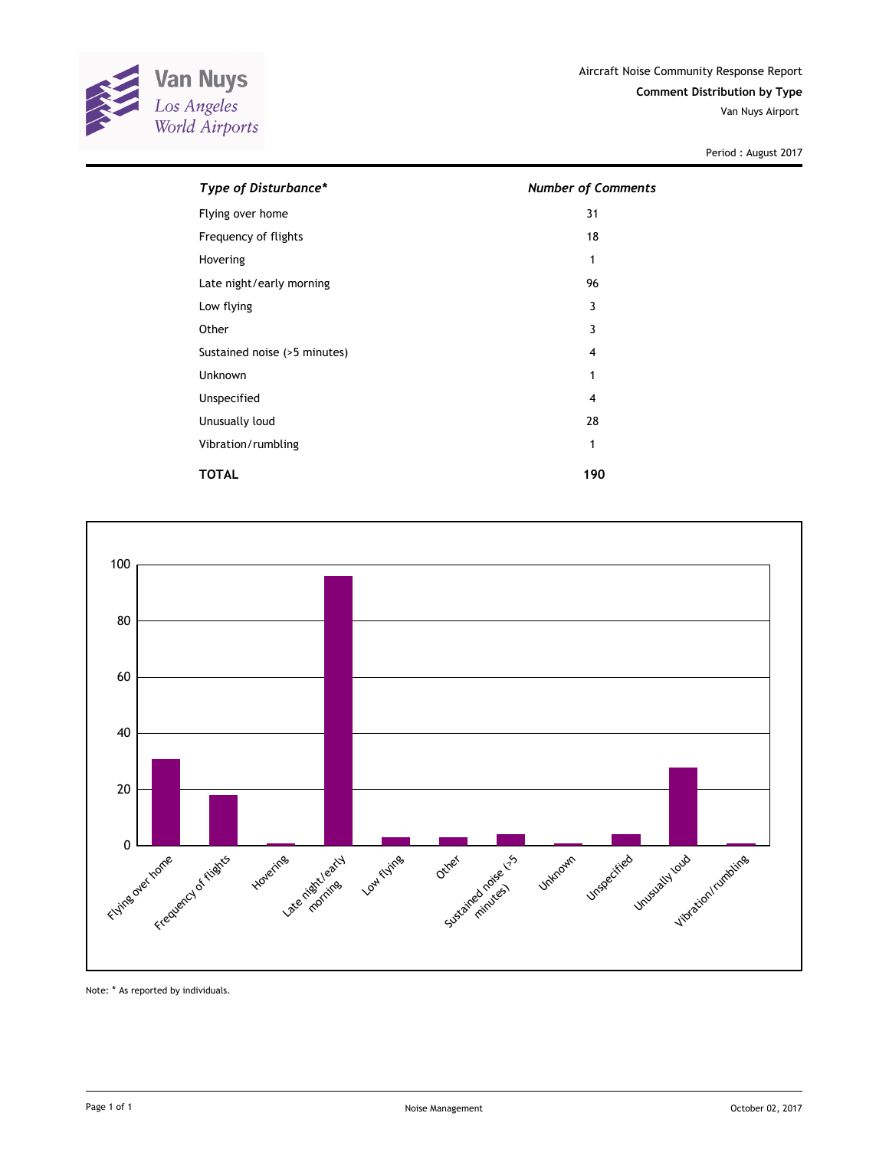

| Type of Disturbance*         | <b>Number of Comments</b> |  |  |  |
|------------------------------|---------------------------|--|--|--|
| Flying over home             | 31                        |  |  |  |
| Frequency of flights         | 18                        |  |  |  |
| Hovering                     | 1                         |  |  |  |
| Late night/early morning     | 96                        |  |  |  |
| Low flying                   | 3                         |  |  |  |
| Other                        | 3                         |  |  |  |
| Sustained noise (>5 minutes) | 4                         |  |  |  |
| Unknown                      | 1                         |  |  |  |
| Unspecified                  | 4                         |  |  |  |
| Unusually loud               | 28                        |  |  |  |
| Vibration/rumbling           | 1                         |  |  |  |
| <b>TOTAL</b>                 | 190                       |  |  |  |



Note: \* As reported by individuals.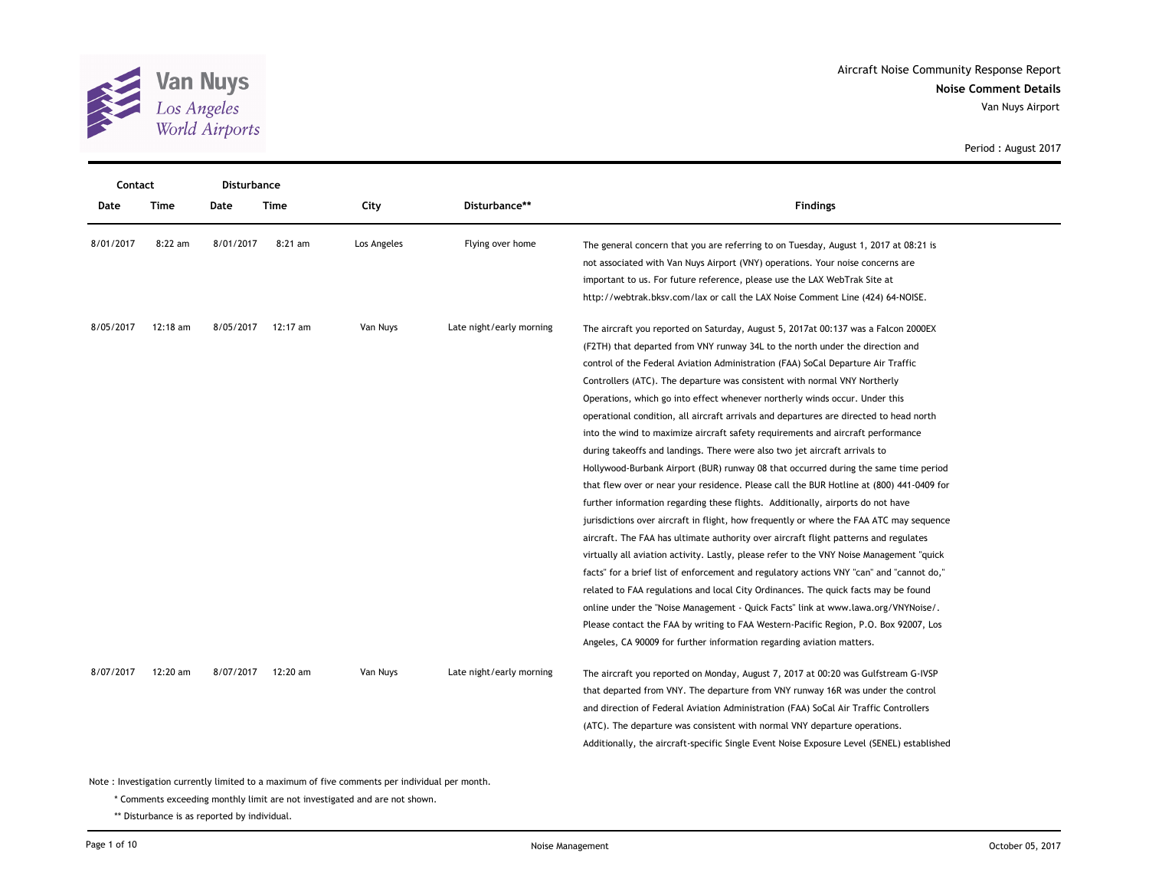

| Contact   |          |           | Disturbance |             |                          |                                                                                                                                                                                                                                                                                                                                                                                                                                                                                                                                                                                                                                                                                                                                                                                                                                                                                                                                                                                                                                                                                                                                                                                                                                                                                                                                                                                                                                                                                                                                                                                                                                                                              |
|-----------|----------|-----------|-------------|-------------|--------------------------|------------------------------------------------------------------------------------------------------------------------------------------------------------------------------------------------------------------------------------------------------------------------------------------------------------------------------------------------------------------------------------------------------------------------------------------------------------------------------------------------------------------------------------------------------------------------------------------------------------------------------------------------------------------------------------------------------------------------------------------------------------------------------------------------------------------------------------------------------------------------------------------------------------------------------------------------------------------------------------------------------------------------------------------------------------------------------------------------------------------------------------------------------------------------------------------------------------------------------------------------------------------------------------------------------------------------------------------------------------------------------------------------------------------------------------------------------------------------------------------------------------------------------------------------------------------------------------------------------------------------------------------------------------------------------|
| Date      | Time     | Date      | <b>Time</b> | City        | Disturbance**            | <b>Findings</b>                                                                                                                                                                                                                                                                                                                                                                                                                                                                                                                                                                                                                                                                                                                                                                                                                                                                                                                                                                                                                                                                                                                                                                                                                                                                                                                                                                                                                                                                                                                                                                                                                                                              |
| 8/01/2017 | 8:22 am  | 8/01/2017 | $8:21$ am   | Los Angeles | Flying over home         | The general concern that you are referring to on Tuesday, August 1, 2017 at 08:21 is<br>not associated with Van Nuys Airport (VNY) operations. Your noise concerns are<br>important to us. For future reference, please use the LAX WebTrak Site at<br>http://webtrak.bksv.com/lax or call the LAX Noise Comment Line (424) 64-NOISE.                                                                                                                                                                                                                                                                                                                                                                                                                                                                                                                                                                                                                                                                                                                                                                                                                                                                                                                                                                                                                                                                                                                                                                                                                                                                                                                                        |
| 8/05/2017 | 12:18 am | 8/05/2017 | 12:17 am    | Van Nuys    | Late night/early morning | The aircraft you reported on Saturday, August 5, 2017at 00:137 was a Falcon 2000EX<br>(F2TH) that departed from VNY runway 34L to the north under the direction and<br>control of the Federal Aviation Administration (FAA) SoCal Departure Air Traffic<br>Controllers (ATC). The departure was consistent with normal VNY Northerly<br>Operations, which go into effect whenever northerly winds occur. Under this<br>operational condition, all aircraft arrivals and departures are directed to head north<br>into the wind to maximize aircraft safety requirements and aircraft performance<br>during takeoffs and landings. There were also two jet aircraft arrivals to<br>Hollywood-Burbank Airport (BUR) runway 08 that occurred during the same time period<br>that flew over or near your residence. Please call the BUR Hotline at (800) 441-0409 for<br>further information regarding these flights. Additionally, airports do not have<br>jurisdictions over aircraft in flight, how frequently or where the FAA ATC may sequence<br>aircraft. The FAA has ultimate authority over aircraft flight patterns and regulates<br>virtually all aviation activity. Lastly, please refer to the VNY Noise Management "quick"<br>facts" for a brief list of enforcement and regulatory actions VNY "can" and "cannot do,"<br>related to FAA regulations and local City Ordinances. The quick facts may be found<br>online under the "Noise Management - Quick Facts" link at www.lawa.org/VNYNoise/.<br>Please contact the FAA by writing to FAA Western-Pacific Region, P.O. Box 92007, Los<br>Angeles, CA 90009 for further information regarding aviation matters. |
| 8/07/2017 | 12:20 am | 8/07/2017 | 12:20 am    | Van Nuys    | Late night/early morning | The aircraft you reported on Monday, August 7, 2017 at 00:20 was Gulfstream G-IVSP<br>that departed from VNY. The departure from VNY runway 16R was under the control<br>and direction of Federal Aviation Administration (FAA) SoCal Air Traffic Controllers<br>(ATC). The departure was consistent with normal VNY departure operations.<br>Additionally, the aircraft-specific Single Event Noise Exposure Level (SENEL) established                                                                                                                                                                                                                                                                                                                                                                                                                                                                                                                                                                                                                                                                                                                                                                                                                                                                                                                                                                                                                                                                                                                                                                                                                                      |

Note : Investigation currently limited to a maximum of five comments per individual per month.

\* Comments exceeding monthly limit are not investigated and are not shown.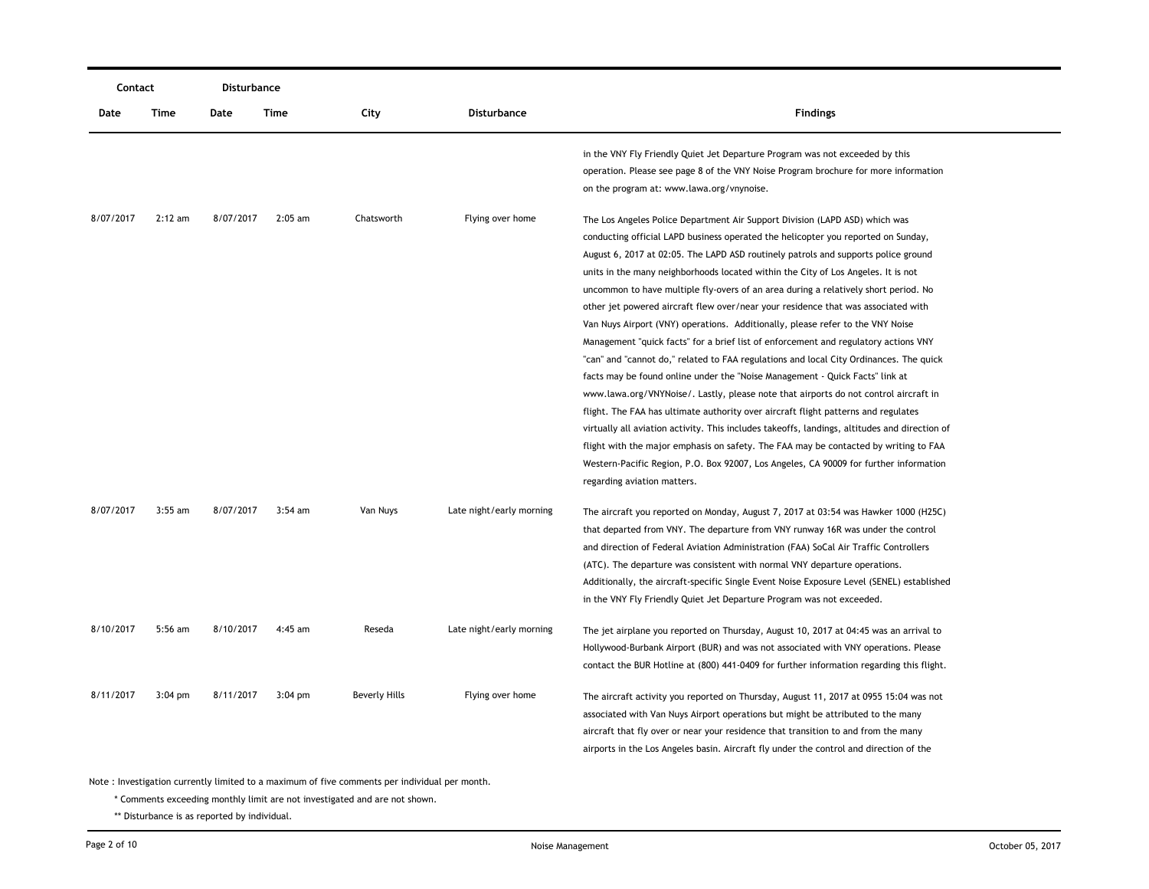| Contact   |           | Disturbance |             |                      |                          |                                                                                                                                                                                                                                                                                                                                                                                                                                                                                                                                                                                                                                                                                                                                                                                                                                                                                                                                                                                                                                                                                                                                                                                                                                                                                                                                                                           |
|-----------|-----------|-------------|-------------|----------------------|--------------------------|---------------------------------------------------------------------------------------------------------------------------------------------------------------------------------------------------------------------------------------------------------------------------------------------------------------------------------------------------------------------------------------------------------------------------------------------------------------------------------------------------------------------------------------------------------------------------------------------------------------------------------------------------------------------------------------------------------------------------------------------------------------------------------------------------------------------------------------------------------------------------------------------------------------------------------------------------------------------------------------------------------------------------------------------------------------------------------------------------------------------------------------------------------------------------------------------------------------------------------------------------------------------------------------------------------------------------------------------------------------------------|
| Date      | Time      | Date        | <b>Time</b> | City                 | <b>Disturbance</b>       | <b>Findings</b>                                                                                                                                                                                                                                                                                                                                                                                                                                                                                                                                                                                                                                                                                                                                                                                                                                                                                                                                                                                                                                                                                                                                                                                                                                                                                                                                                           |
|           |           |             |             |                      |                          | in the VNY Fly Friendly Quiet Jet Departure Program was not exceeded by this<br>operation. Please see page 8 of the VNY Noise Program brochure for more information<br>on the program at: www.lawa.org/vnynoise.                                                                                                                                                                                                                                                                                                                                                                                                                                                                                                                                                                                                                                                                                                                                                                                                                                                                                                                                                                                                                                                                                                                                                          |
| 8/07/2017 | $2:12$ am | 8/07/2017   | $2:05$ am   | Chatsworth           | Flying over home         | The Los Angeles Police Department Air Support Division (LAPD ASD) which was<br>conducting official LAPD business operated the helicopter you reported on Sunday,<br>August 6, 2017 at 02:05. The LAPD ASD routinely patrols and supports police ground<br>units in the many neighborhoods located within the City of Los Angeles. It is not<br>uncommon to have multiple fly-overs of an area during a relatively short period. No<br>other jet powered aircraft flew over/near your residence that was associated with<br>Van Nuys Airport (VNY) operations. Additionally, please refer to the VNY Noise<br>Management "quick facts" for a brief list of enforcement and regulatory actions VNY<br>"can" and "cannot do," related to FAA regulations and local City Ordinances. The quick<br>facts may be found online under the "Noise Management - Quick Facts" link at<br>www.lawa.org/VNYNoise/. Lastly, please note that airports do not control aircraft in<br>flight. The FAA has ultimate authority over aircraft flight patterns and regulates<br>virtually all aviation activity. This includes takeoffs, landings, altitudes and direction of<br>flight with the major emphasis on safety. The FAA may be contacted by writing to FAA<br>Western-Pacific Region, P.O. Box 92007, Los Angeles, CA 90009 for further information<br>regarding aviation matters. |
| 8/07/2017 | $3:55$ am | 8/07/2017   | $3:54$ am   | Van Nuys             | Late night/early morning | The aircraft you reported on Monday, August 7, 2017 at 03:54 was Hawker 1000 (H25C)<br>that departed from VNY. The departure from VNY runway 16R was under the control<br>and direction of Federal Aviation Administration (FAA) SoCal Air Traffic Controllers<br>(ATC). The departure was consistent with normal VNY departure operations.<br>Additionally, the aircraft-specific Single Event Noise Exposure Level (SENEL) established<br>in the VNY Fly Friendly Quiet Jet Departure Program was not exceeded.                                                                                                                                                                                                                                                                                                                                                                                                                                                                                                                                                                                                                                                                                                                                                                                                                                                         |
| 8/10/2017 | $5:56$ am | 8/10/2017   | 4:45 am     | Reseda               | Late night/early morning | The jet airplane you reported on Thursday, August 10, 2017 at 04:45 was an arrival to<br>Hollywood-Burbank Airport (BUR) and was not associated with VNY operations. Please<br>contact the BUR Hotline at (800) 441-0409 for further information regarding this flight.                                                                                                                                                                                                                                                                                                                                                                                                                                                                                                                                                                                                                                                                                                                                                                                                                                                                                                                                                                                                                                                                                                   |
| 8/11/2017 | $3:04$ pm | 8/11/2017   | $3:04$ pm   | <b>Beverly Hills</b> | Flying over home         | The aircraft activity you reported on Thursday, August 11, 2017 at 0955 15:04 was not<br>associated with Van Nuys Airport operations but might be attributed to the many<br>aircraft that fly over or near your residence that transition to and from the many<br>airports in the Los Angeles basin. Aircraft fly under the control and direction of the                                                                                                                                                                                                                                                                                                                                                                                                                                                                                                                                                                                                                                                                                                                                                                                                                                                                                                                                                                                                                  |

\* Comments exceeding monthly limit are not investigated and are not shown.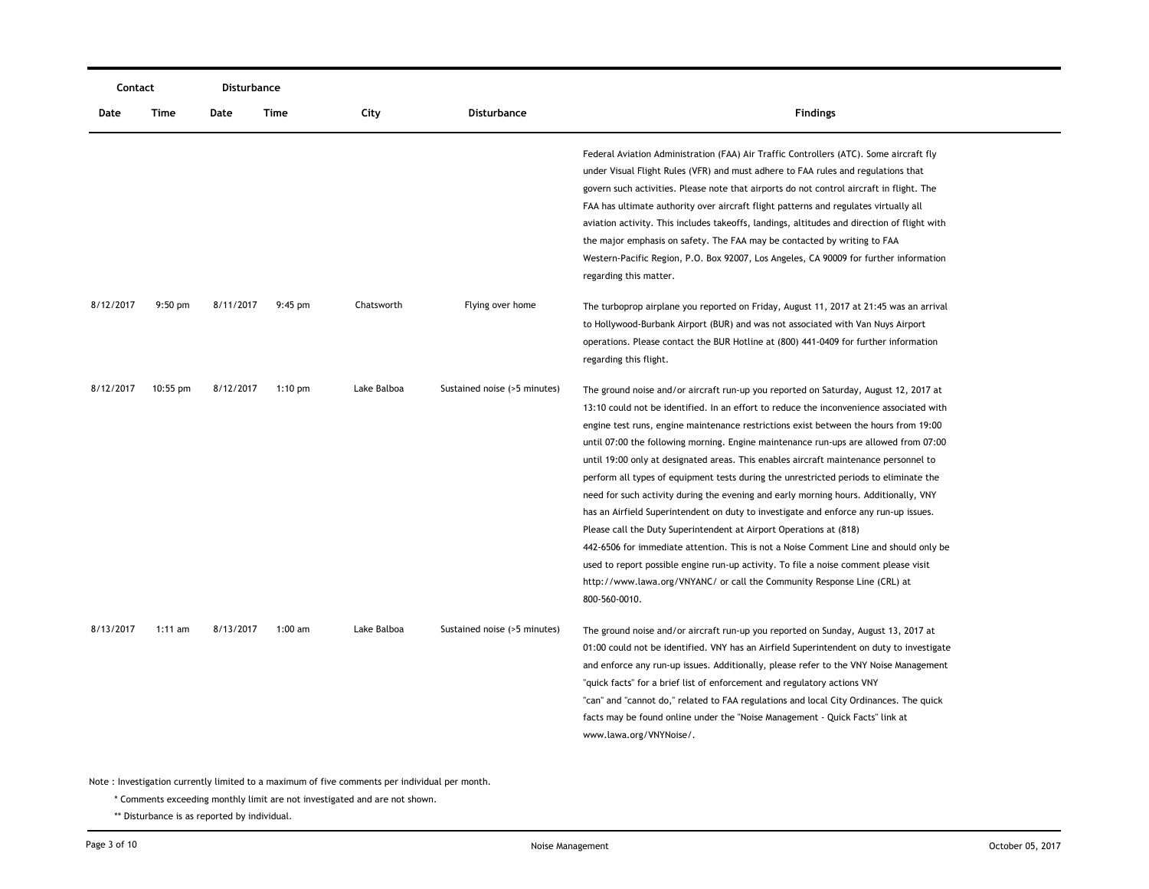| Contact   |            | Disturbance |           |             |                              |                                                                                                                                                                                                                                                                                                                                                                                                                                                                                                                                                                                                                                                                                                                                                                                                                                                                                                                                                                                                                                                                                      |  |
|-----------|------------|-------------|-----------|-------------|------------------------------|--------------------------------------------------------------------------------------------------------------------------------------------------------------------------------------------------------------------------------------------------------------------------------------------------------------------------------------------------------------------------------------------------------------------------------------------------------------------------------------------------------------------------------------------------------------------------------------------------------------------------------------------------------------------------------------------------------------------------------------------------------------------------------------------------------------------------------------------------------------------------------------------------------------------------------------------------------------------------------------------------------------------------------------------------------------------------------------|--|
| Date      | Time       | Date        | Time      | City        | Disturbance                  | <b>Findings</b>                                                                                                                                                                                                                                                                                                                                                                                                                                                                                                                                                                                                                                                                                                                                                                                                                                                                                                                                                                                                                                                                      |  |
|           |            |             |           |             |                              | Federal Aviation Administration (FAA) Air Traffic Controllers (ATC). Some aircraft fly<br>under Visual Flight Rules (VFR) and must adhere to FAA rules and regulations that<br>govern such activities. Please note that airports do not control aircraft in flight. The<br>FAA has ultimate authority over aircraft flight patterns and regulates virtually all<br>aviation activity. This includes takeoffs, landings, altitudes and direction of flight with<br>the major emphasis on safety. The FAA may be contacted by writing to FAA<br>Western-Pacific Region, P.O. Box 92007, Los Angeles, CA 90009 for further information<br>regarding this matter.                                                                                                                                                                                                                                                                                                                                                                                                                        |  |
| 8/12/2017 | $9:50$ pm  | 8/11/2017   | $9:45$ pm | Chatsworth  | Flying over home             | The turboprop airplane you reported on Friday, August 11, 2017 at 21:45 was an arrival<br>to Hollywood-Burbank Airport (BUR) and was not associated with Van Nuys Airport<br>operations. Please contact the BUR Hotline at (800) 441-0409 for further information<br>regarding this flight.                                                                                                                                                                                                                                                                                                                                                                                                                                                                                                                                                                                                                                                                                                                                                                                          |  |
| 8/12/2017 | $10:55$ pm | 8/12/2017   | $1:10$ pm | Lake Balboa | Sustained noise (>5 minutes) | The ground noise and/or aircraft run-up you reported on Saturday, August 12, 2017 at<br>13:10 could not be identified. In an effort to reduce the inconvenience associated with<br>engine test runs, engine maintenance restrictions exist between the hours from 19:00<br>until 07:00 the following morning. Engine maintenance run-ups are allowed from 07:00<br>until 19:00 only at designated areas. This enables aircraft maintenance personnel to<br>perform all types of equipment tests during the unrestricted periods to eliminate the<br>need for such activity during the evening and early morning hours. Additionally, VNY<br>has an Airfield Superintendent on duty to investigate and enforce any run-up issues.<br>Please call the Duty Superintendent at Airport Operations at (818)<br>442-6506 for immediate attention. This is not a Noise Comment Line and should only be<br>used to report possible engine run-up activity. To file a noise comment please visit<br>http://www.lawa.org/VNYANC/ or call the Community Response Line (CRL) at<br>800-560-0010. |  |
| 8/13/2017 | $1:11$ am  | 8/13/2017   | $1:00$ am | Lake Balboa | Sustained noise (>5 minutes) | The ground noise and/or aircraft run-up you reported on Sunday, August 13, 2017 at<br>01:00 could not be identified. VNY has an Airfield Superintendent on duty to investigate<br>and enforce any run-up issues. Additionally, please refer to the VNY Noise Management<br>"quick facts" for a brief list of enforcement and regulatory actions VNY<br>"can" and "cannot do," related to FAA regulations and local City Ordinances. The quick<br>facts may be found online under the "Noise Management - Quick Facts" link at<br>www.lawa.org/VNYNoise/.                                                                                                                                                                                                                                                                                                                                                                                                                                                                                                                             |  |

\* Comments exceeding monthly limit are not investigated and are not shown.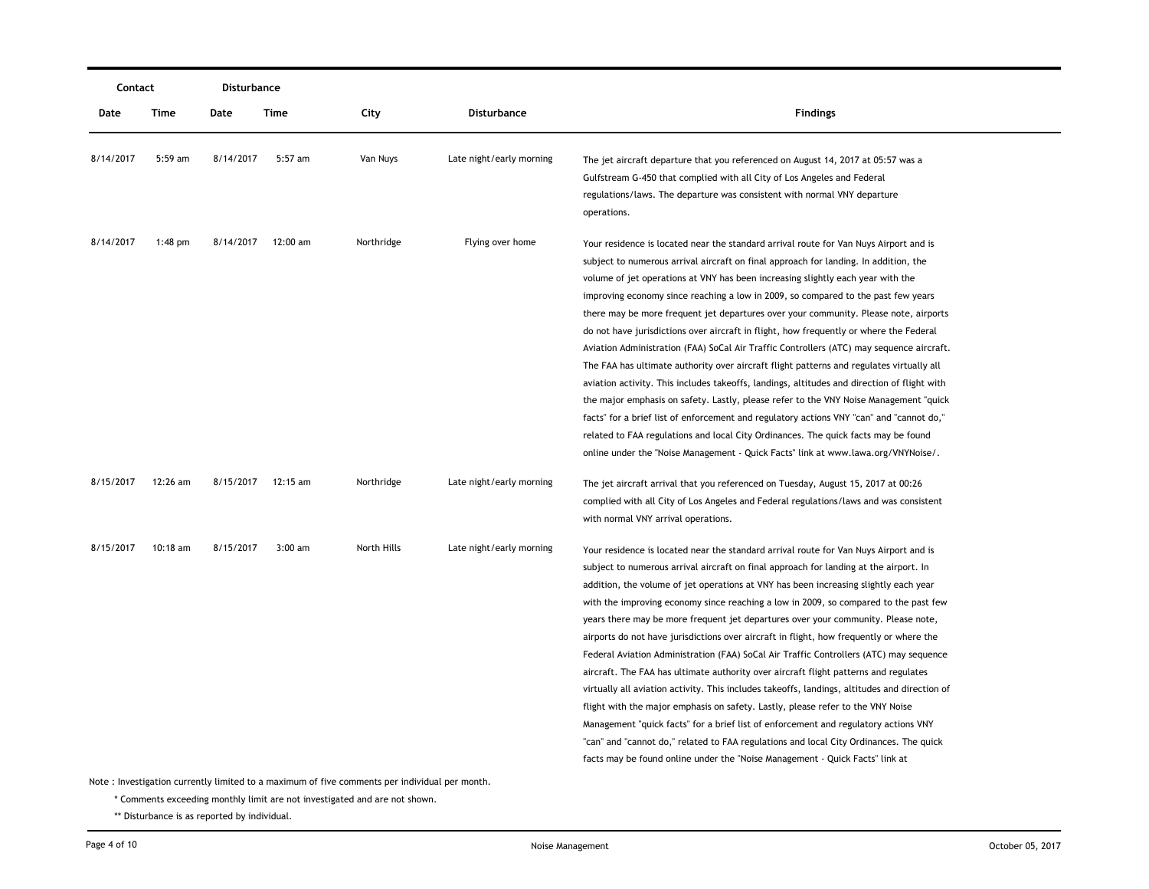|           | Disturbance<br>Contact |           |           |             |                          |                                                                                                                                                                                                                                                                                                                                                                                                                                                                                                                                                                                                                                                                                                                                                                                                                                                                                                                                                                                                                                                                                                                                                                                                 |
|-----------|------------------------|-----------|-----------|-------------|--------------------------|-------------------------------------------------------------------------------------------------------------------------------------------------------------------------------------------------------------------------------------------------------------------------------------------------------------------------------------------------------------------------------------------------------------------------------------------------------------------------------------------------------------------------------------------------------------------------------------------------------------------------------------------------------------------------------------------------------------------------------------------------------------------------------------------------------------------------------------------------------------------------------------------------------------------------------------------------------------------------------------------------------------------------------------------------------------------------------------------------------------------------------------------------------------------------------------------------|
| Date      | Time                   | Date      | Time      | City        | Disturbance              | <b>Findings</b>                                                                                                                                                                                                                                                                                                                                                                                                                                                                                                                                                                                                                                                                                                                                                                                                                                                                                                                                                                                                                                                                                                                                                                                 |
| 8/14/2017 | 5:59 am                | 8/14/2017 | 5:57 am   | Van Nuys    | Late night/early morning | The jet aircraft departure that you referenced on August 14, 2017 at 05:57 was a<br>Gulfstream G-450 that complied with all City of Los Angeles and Federal<br>regulations/laws. The departure was consistent with normal VNY departure<br>operations.                                                                                                                                                                                                                                                                                                                                                                                                                                                                                                                                                                                                                                                                                                                                                                                                                                                                                                                                          |
| 8/14/2017 | $1:48$ pm              | 8/14/2017 | 12:00 am  | Northridge  | Flying over home         | Your residence is located near the standard arrival route for Van Nuys Airport and is<br>subject to numerous arrival aircraft on final approach for landing. In addition, the<br>volume of jet operations at VNY has been increasing slightly each year with the<br>improving economy since reaching a low in 2009, so compared to the past few years<br>there may be more frequent jet departures over your community. Please note, airports<br>do not have jurisdictions over aircraft in flight, how frequently or where the Federal<br>Aviation Administration (FAA) SoCal Air Traffic Controllers (ATC) may sequence aircraft.<br>The FAA has ultimate authority over aircraft flight patterns and regulates virtually all<br>aviation activity. This includes takeoffs, landings, altitudes and direction of flight with<br>the major emphasis on safety. Lastly, please refer to the VNY Noise Management "quick"<br>facts" for a brief list of enforcement and regulatory actions VNY "can" and "cannot do,"<br>related to FAA regulations and local City Ordinances. The quick facts may be found<br>online under the "Noise Management - Quick Facts" link at www.lawa.org/VNYNoise/. |
| 8/15/2017 | 12:26 am               | 8/15/2017 | 12:15 am  | Northridge  | Late night/early morning | The jet aircraft arrival that you referenced on Tuesday, August 15, 2017 at 00:26<br>complied with all City of Los Angeles and Federal regulations/laws and was consistent<br>with normal VNY arrival operations.                                                                                                                                                                                                                                                                                                                                                                                                                                                                                                                                                                                                                                                                                                                                                                                                                                                                                                                                                                               |
| 8/15/2017 | $10:18$ am             | 8/15/2017 | $3:00$ am | North Hills | Late night/early morning | Your residence is located near the standard arrival route for Van Nuys Airport and is<br>subject to numerous arrival aircraft on final approach for landing at the airport. In<br>addition, the volume of jet operations at VNY has been increasing slightly each year<br>with the improving economy since reaching a low in 2009, so compared to the past few<br>years there may be more frequent jet departures over your community. Please note,<br>airports do not have jurisdictions over aircraft in flight, how frequently or where the<br>Federal Aviation Administration (FAA) SoCal Air Traffic Controllers (ATC) may sequence<br>aircraft. The FAA has ultimate authority over aircraft flight patterns and regulates<br>virtually all aviation activity. This includes takeoffs, landings, altitudes and direction of<br>flight with the major emphasis on safety. Lastly, please refer to the VNY Noise<br>Management "quick facts" for a brief list of enforcement and regulatory actions VNY<br>"can" and "cannot do," related to FAA regulations and local City Ordinances. The quick<br>facts may be found online under the "Noise Management - Quick Facts" link at           |

\* Comments exceeding monthly limit are not investigated and are not shown.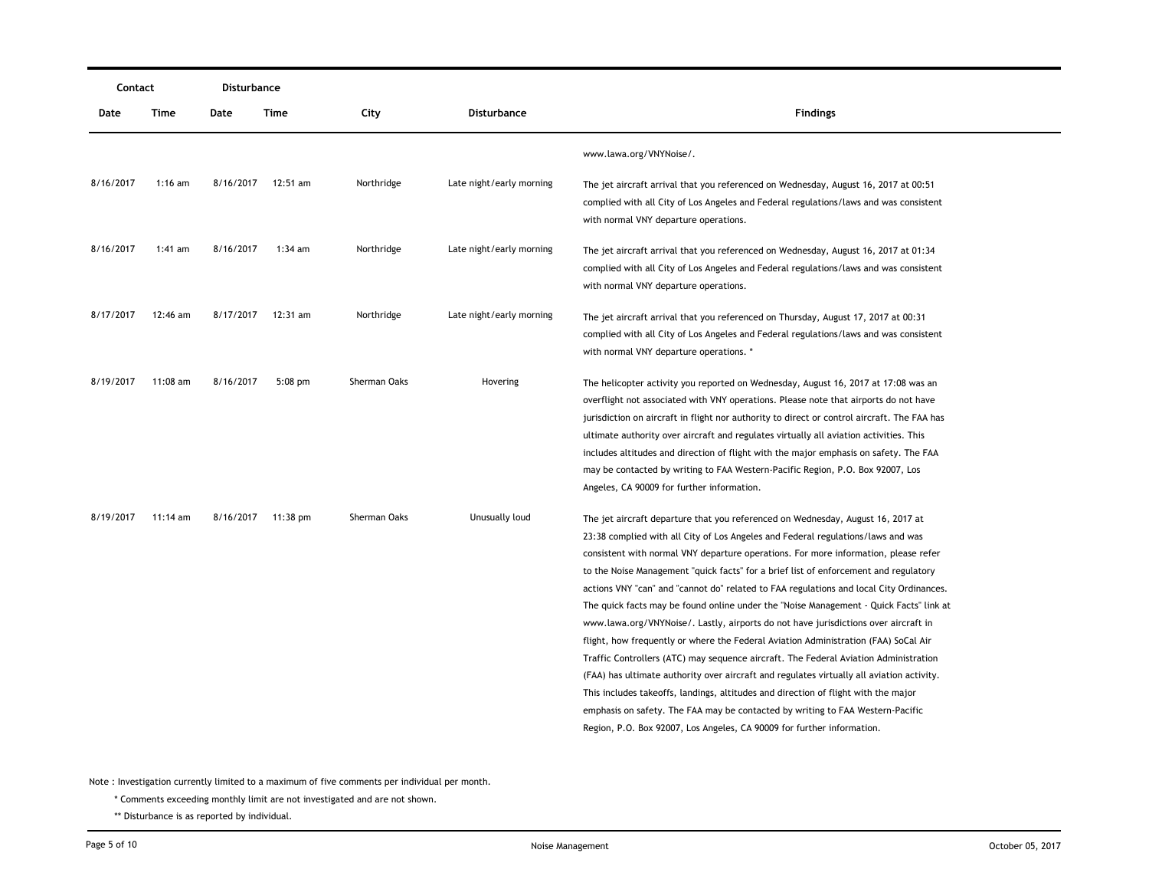| Contact   |            | Disturbance |                    |              |                          |                                                                                                                                                                                                                                                                                                                                                                                                                                                                                                                                                                                                                                                                                                                                                                                                                                                                                                                                                                                                                                                                                                                                                              |
|-----------|------------|-------------|--------------------|--------------|--------------------------|--------------------------------------------------------------------------------------------------------------------------------------------------------------------------------------------------------------------------------------------------------------------------------------------------------------------------------------------------------------------------------------------------------------------------------------------------------------------------------------------------------------------------------------------------------------------------------------------------------------------------------------------------------------------------------------------------------------------------------------------------------------------------------------------------------------------------------------------------------------------------------------------------------------------------------------------------------------------------------------------------------------------------------------------------------------------------------------------------------------------------------------------------------------|
| Date      | Time       | Date        | Time               | City         | <b>Disturbance</b>       | <b>Findings</b>                                                                                                                                                                                                                                                                                                                                                                                                                                                                                                                                                                                                                                                                                                                                                                                                                                                                                                                                                                                                                                                                                                                                              |
|           |            |             |                    |              |                          | www.lawa.org/VNYNoise/.                                                                                                                                                                                                                                                                                                                                                                                                                                                                                                                                                                                                                                                                                                                                                                                                                                                                                                                                                                                                                                                                                                                                      |
| 8/16/2017 | $1:16$ am  |             | 8/16/2017 12:51 am | Northridge   | Late night/early morning | The jet aircraft arrival that you referenced on Wednesday, August 16, 2017 at 00:51<br>complied with all City of Los Angeles and Federal regulations/laws and was consistent<br>with normal VNY departure operations.                                                                                                                                                                                                                                                                                                                                                                                                                                                                                                                                                                                                                                                                                                                                                                                                                                                                                                                                        |
| 8/16/2017 | 1:41 am    | 8/16/2017   | 1:34 am            | Northridge   | Late night/early morning | The jet aircraft arrival that you referenced on Wednesday, August 16, 2017 at 01:34<br>complied with all City of Los Angeles and Federal regulations/laws and was consistent<br>with normal VNY departure operations.                                                                                                                                                                                                                                                                                                                                                                                                                                                                                                                                                                                                                                                                                                                                                                                                                                                                                                                                        |
| 8/17/2017 | 12:46 am   | 8/17/2017   | 12:31 am           | Northridge   | Late night/early morning | The jet aircraft arrival that you referenced on Thursday, August 17, 2017 at 00:31<br>complied with all City of Los Angeles and Federal regulations/laws and was consistent<br>with normal VNY departure operations. *                                                                                                                                                                                                                                                                                                                                                                                                                                                                                                                                                                                                                                                                                                                                                                                                                                                                                                                                       |
| 8/19/2017 | 11:08 am   | 8/16/2017   | $5:08$ pm          | Sherman Oaks | Hovering                 | The helicopter activity you reported on Wednesday, August 16, 2017 at 17:08 was an<br>overflight not associated with VNY operations. Please note that airports do not have<br>jurisdiction on aircraft in flight nor authority to direct or control aircraft. The FAA has<br>ultimate authority over aircraft and regulates virtually all aviation activities. This<br>includes altitudes and direction of flight with the major emphasis on safety. The FAA<br>may be contacted by writing to FAA Western-Pacific Region, P.O. Box 92007, Los<br>Angeles, CA 90009 for further information.                                                                                                                                                                                                                                                                                                                                                                                                                                                                                                                                                                 |
| 8/19/2017 | $11:14$ am |             | 8/16/2017 11:38 pm | Sherman Oaks | Unusually loud           | The jet aircraft departure that you referenced on Wednesday, August 16, 2017 at<br>23:38 complied with all City of Los Angeles and Federal regulations/laws and was<br>consistent with normal VNY departure operations. For more information, please refer<br>to the Noise Management "quick facts" for a brief list of enforcement and regulatory<br>actions VNY "can" and "cannot do" related to FAA regulations and local City Ordinances.<br>The quick facts may be found online under the "Noise Management - Quick Facts" link at<br>www.lawa.org/VNYNoise/. Lastly, airports do not have jurisdictions over aircraft in<br>flight, how frequently or where the Federal Aviation Administration (FAA) SoCal Air<br>Traffic Controllers (ATC) may sequence aircraft. The Federal Aviation Administration<br>(FAA) has ultimate authority over aircraft and regulates virtually all aviation activity.<br>This includes takeoffs, landings, altitudes and direction of flight with the major<br>emphasis on safety. The FAA may be contacted by writing to FAA Western-Pacific<br>Region, P.O. Box 92007, Los Angeles, CA 90009 for further information. |

\* Comments exceeding monthly limit are not investigated and are not shown.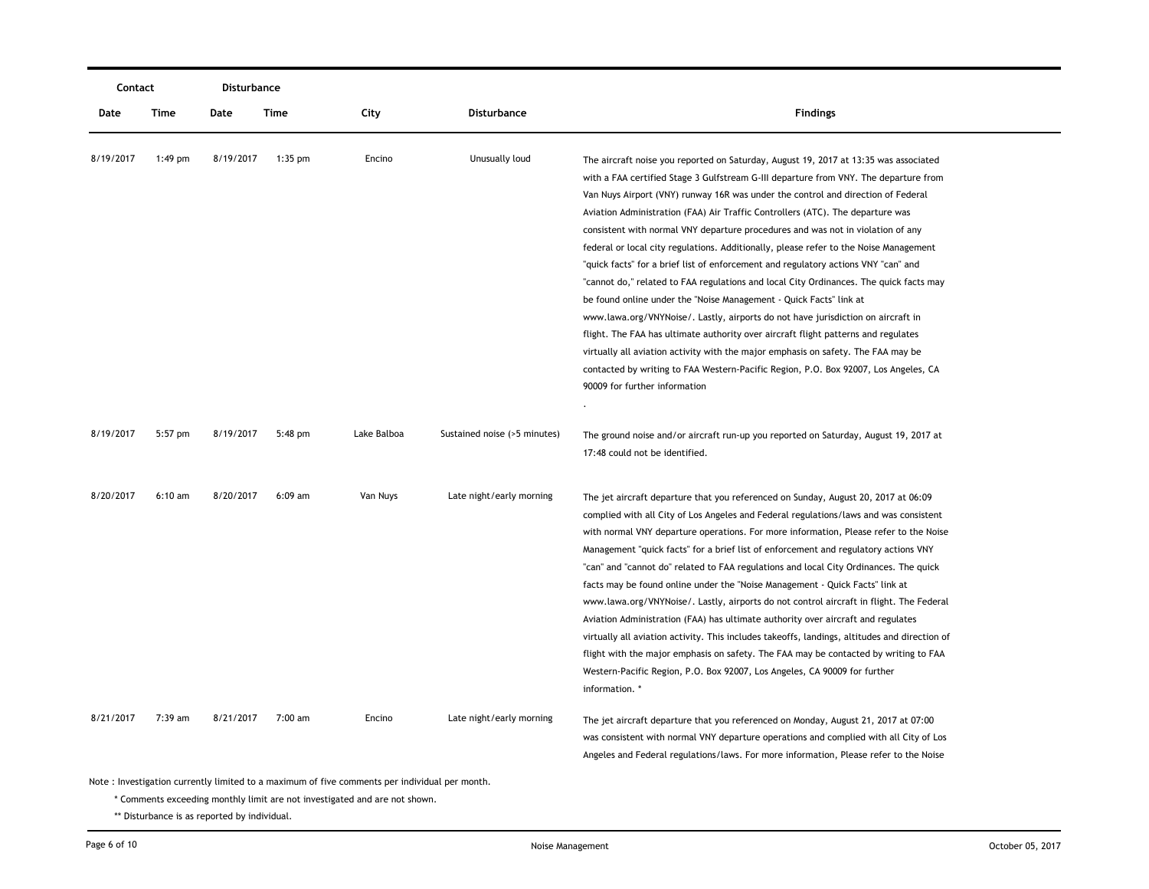| Contact   |           | <b>Disturbance</b> |           |             |                              |                                                                                                                                                                                                                                                                                                                                                                                                                                                                                                                                                                                                                                                                                                                                                                                                                                                                                                                                                                                                                                                                                                                                                                             |  |
|-----------|-----------|--------------------|-----------|-------------|------------------------------|-----------------------------------------------------------------------------------------------------------------------------------------------------------------------------------------------------------------------------------------------------------------------------------------------------------------------------------------------------------------------------------------------------------------------------------------------------------------------------------------------------------------------------------------------------------------------------------------------------------------------------------------------------------------------------------------------------------------------------------------------------------------------------------------------------------------------------------------------------------------------------------------------------------------------------------------------------------------------------------------------------------------------------------------------------------------------------------------------------------------------------------------------------------------------------|--|
| Date      | Time      | Date               | Time      | City        | Disturbance                  | <b>Findings</b>                                                                                                                                                                                                                                                                                                                                                                                                                                                                                                                                                                                                                                                                                                                                                                                                                                                                                                                                                                                                                                                                                                                                                             |  |
| 8/19/2017 | $1:49$ pm | 8/19/2017          | $1:35$ pm | Encino      | Unusually loud               | The aircraft noise you reported on Saturday, August 19, 2017 at 13:35 was associated<br>with a FAA certified Stage 3 Gulfstream G-III departure from VNY. The departure from<br>Van Nuys Airport (VNY) runway 16R was under the control and direction of Federal<br>Aviation Administration (FAA) Air Traffic Controllers (ATC). The departure was<br>consistent with normal VNY departure procedures and was not in violation of any<br>federal or local city regulations. Additionally, please refer to the Noise Management<br>"quick facts" for a brief list of enforcement and regulatory actions VNY "can" and<br>"cannot do," related to FAA regulations and local City Ordinances. The quick facts may<br>be found online under the "Noise Management - Quick Facts" link at<br>www.lawa.org/VNYNoise/. Lastly, airports do not have jurisdiction on aircraft in<br>flight. The FAA has ultimate authority over aircraft flight patterns and regulates<br>virtually all aviation activity with the major emphasis on safety. The FAA may be<br>contacted by writing to FAA Western-Pacific Region, P.O. Box 92007, Los Angeles, CA<br>90009 for further information |  |
| 8/19/2017 | 5:57 pm   | 8/19/2017          | 5:48 pm   | Lake Balboa | Sustained noise (>5 minutes) | The ground noise and/or aircraft run-up you reported on Saturday, August 19, 2017 at<br>17:48 could not be identified.                                                                                                                                                                                                                                                                                                                                                                                                                                                                                                                                                                                                                                                                                                                                                                                                                                                                                                                                                                                                                                                      |  |
| 8/20/2017 | $6:10$ am | 8/20/2017          | $6:09$ am | Van Nuys    | Late night/early morning     | The jet aircraft departure that you referenced on Sunday, August 20, 2017 at 06:09<br>complied with all City of Los Angeles and Federal regulations/laws and was consistent<br>with normal VNY departure operations. For more information, Please refer to the Noise<br>Management "quick facts" for a brief list of enforcement and regulatory actions VNY<br>"can" and "cannot do" related to FAA regulations and local City Ordinances. The quick<br>facts may be found online under the "Noise Management - Quick Facts" link at<br>www.lawa.org/VNYNoise/. Lastly, airports do not control aircraft in flight. The Federal<br>Aviation Administration (FAA) has ultimate authority over aircraft and regulates<br>virtually all aviation activity. This includes takeoffs, landings, altitudes and direction of<br>flight with the major emphasis on safety. The FAA may be contacted by writing to FAA<br>Western-Pacific Region, P.O. Box 92007, Los Angeles, CA 90009 for further<br>information. *                                                                                                                                                                 |  |
| 8/21/2017 | $7:39$ am | 8/21/2017          | 7:00 am   | Encino      | Late night/early morning     | The jet aircraft departure that you referenced on Monday, August 21, 2017 at 07:00<br>was consistent with normal VNY departure operations and complied with all City of Los<br>Angeles and Federal regulations/laws. For more information, Please refer to the Noise                                                                                                                                                                                                                                                                                                                                                                                                                                                                                                                                                                                                                                                                                                                                                                                                                                                                                                        |  |

\* Comments exceeding monthly limit are not investigated and are not shown.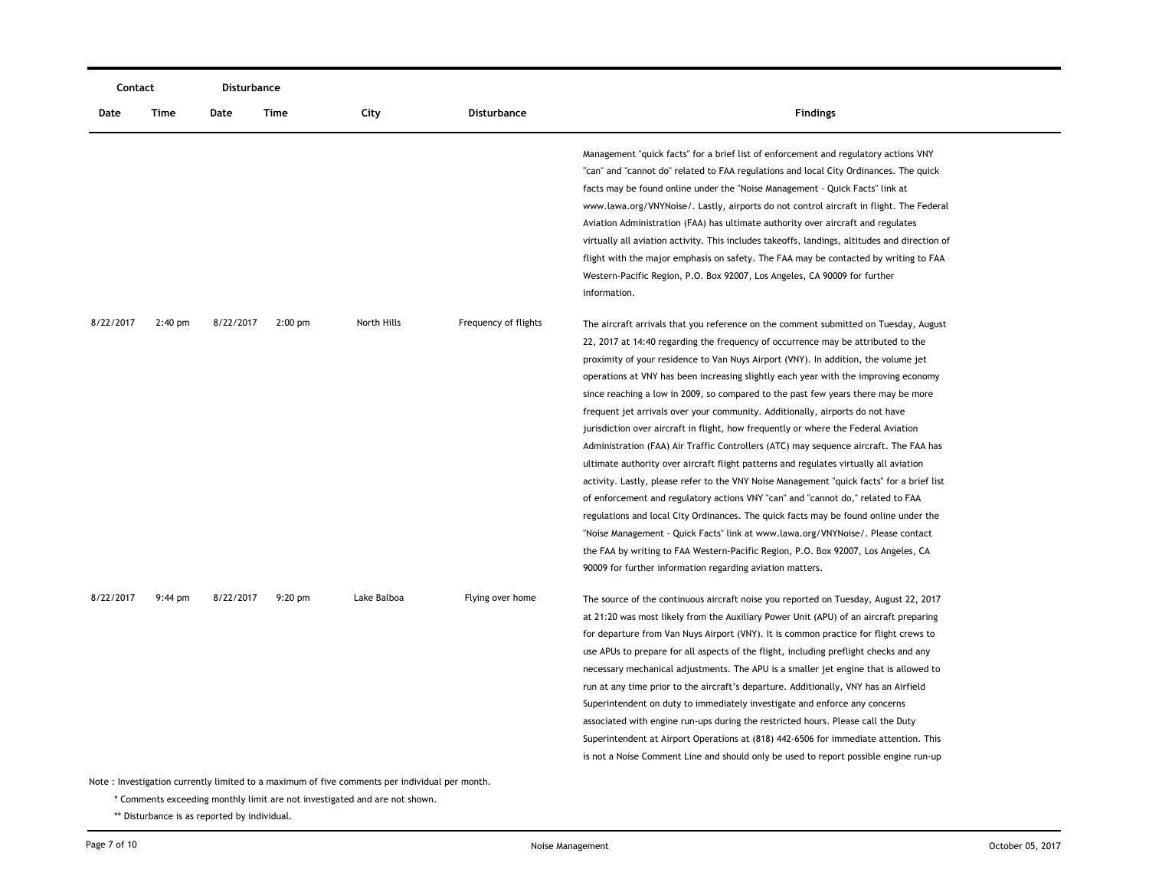| Contact                                                                                       |           | Disturbance |           |             |                      |                                                                                                                                                                                                                                                                                                                                                                                                                                                                                                                                                                                                                                                                                                                                                                                                                                                                                                                                                                                                                                                                                                                                                                                                                                                                                                                  |  |
|-----------------------------------------------------------------------------------------------|-----------|-------------|-----------|-------------|----------------------|------------------------------------------------------------------------------------------------------------------------------------------------------------------------------------------------------------------------------------------------------------------------------------------------------------------------------------------------------------------------------------------------------------------------------------------------------------------------------------------------------------------------------------------------------------------------------------------------------------------------------------------------------------------------------------------------------------------------------------------------------------------------------------------------------------------------------------------------------------------------------------------------------------------------------------------------------------------------------------------------------------------------------------------------------------------------------------------------------------------------------------------------------------------------------------------------------------------------------------------------------------------------------------------------------------------|--|
| Date                                                                                          | Time      | Date        | Time      | City        | Disturbance          | <b>Findings</b>                                                                                                                                                                                                                                                                                                                                                                                                                                                                                                                                                                                                                                                                                                                                                                                                                                                                                                                                                                                                                                                                                                                                                                                                                                                                                                  |  |
|                                                                                               |           |             |           |             |                      | Management "quick facts" for a brief list of enforcement and regulatory actions VNY<br>"can" and "cannot do" related to FAA regulations and local City Ordinances. The quick<br>facts may be found online under the "Noise Management - Quick Facts" link at<br>www.lawa.org/VNYNoise/. Lastly, airports do not control aircraft in flight. The Federal<br>Aviation Administration (FAA) has ultimate authority over aircraft and regulates<br>virtually all aviation activity. This includes takeoffs, landings, altitudes and direction of<br>flight with the major emphasis on safety. The FAA may be contacted by writing to FAA<br>Western-Pacific Region, P.O. Box 92007, Los Angeles, CA 90009 for further<br>information.                                                                                                                                                                                                                                                                                                                                                                                                                                                                                                                                                                                |  |
| 8/22/2017                                                                                     | $2:40$ pm | 8/22/2017   | $2:00$ pm | North Hills | Frequency of flights | The aircraft arrivals that you reference on the comment submitted on Tuesday, August<br>22, 2017 at 14:40 regarding the frequency of occurrence may be attributed to the<br>proximity of your residence to Van Nuys Airport (VNY). In addition, the volume jet<br>operations at VNY has been increasing slightly each year with the improving economy<br>since reaching a low in 2009, so compared to the past few years there may be more<br>frequent jet arrivals over your community. Additionally, airports do not have<br>jurisdiction over aircraft in flight, how frequently or where the Federal Aviation<br>Administration (FAA) Air Traffic Controllers (ATC) may sequence aircraft. The FAA has<br>ultimate authority over aircraft flight patterns and regulates virtually all aviation<br>activity. Lastly, please refer to the VNY Noise Management "quick facts" for a brief list<br>of enforcement and regulatory actions VNY "can" and "cannot do," related to FAA<br>regulations and local City Ordinances. The quick facts may be found online under the<br>"Noise Management - Quick Facts" link at www.lawa.org/VNYNoise/. Please contact<br>the FAA by writing to FAA Western-Pacific Region, P.O. Box 92007, Los Angeles, CA<br>90009 for further information regarding aviation matters. |  |
| 8/22/2017                                                                                     | $9:44$ pm | 8/22/2017   | $9:20$ pm | Lake Balboa | Flying over home     | The source of the continuous aircraft noise you reported on Tuesday, August 22, 2017<br>at 21:20 was most likely from the Auxiliary Power Unit (APU) of an aircraft preparing<br>for departure from Van Nuys Airport (VNY). It is common practice for flight crews to<br>use APUs to prepare for all aspects of the flight, including preflight checks and any<br>necessary mechanical adjustments. The APU is a smaller jet engine that is allowed to<br>run at any time prior to the aircraft's departure. Additionally, VNY has an Airfield<br>Superintendent on duty to immediately investigate and enforce any concerns<br>associated with engine run-ups during the restricted hours. Please call the Duty<br>Superintendent at Airport Operations at (818) 442-6506 for immediate attention. This<br>is not a Noise Comment Line and should only be used to report possible engine run-up                                                                                                                                                                                                                                                                                                                                                                                                                 |  |
| Note: Investigation currently limited to a maximum of five comments per individual per month. |           |             |           |             |                      |                                                                                                                                                                                                                                                                                                                                                                                                                                                                                                                                                                                                                                                                                                                                                                                                                                                                                                                                                                                                                                                                                                                                                                                                                                                                                                                  |  |

\* Comments exceeding monthly limit are not investigated and are not shown.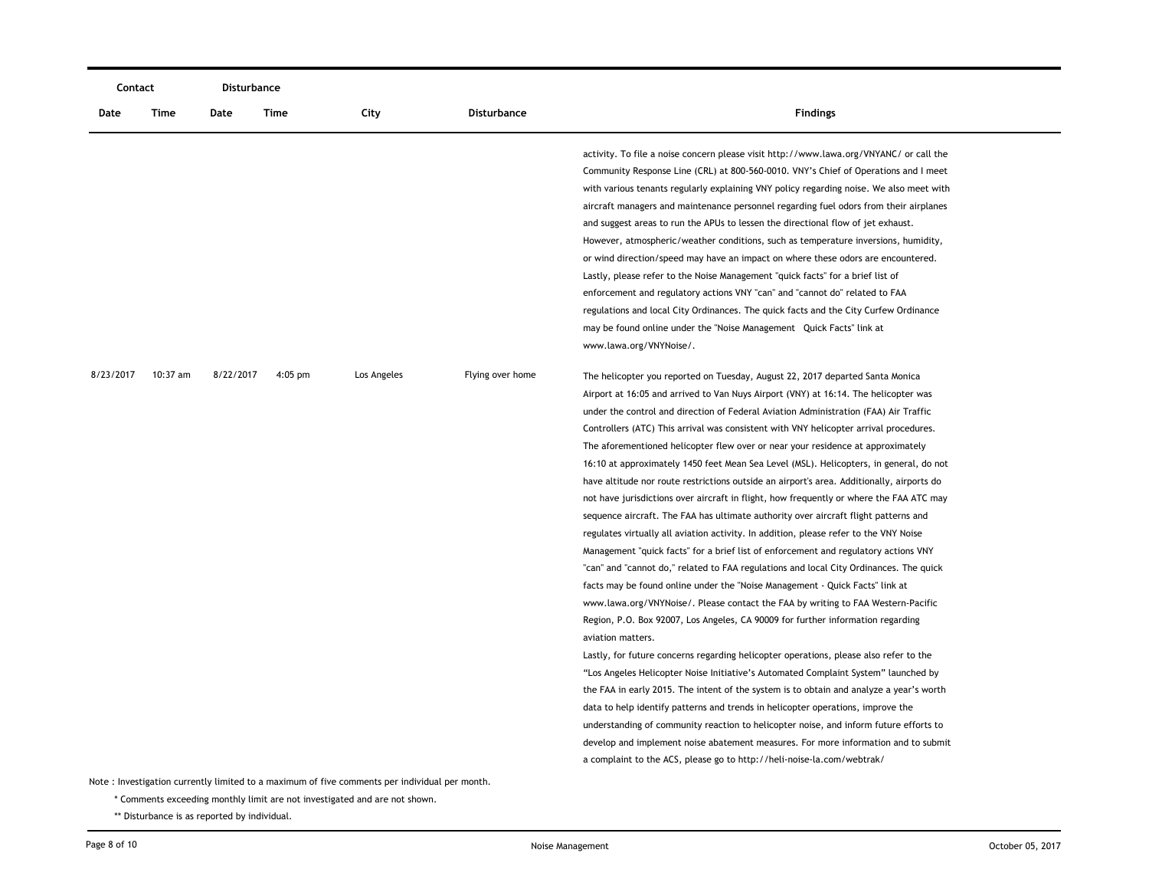| Contact   |            | Disturbance |           |                                                                                               |                    |                                                                                                                                                                                                                                                                                                                                                                                                                                                                                                                                                                                                                                                                                                                                                                                                                                                                                                                                                                                                                                                                                                                                                                                                                                                                                                                                                                                                                                                                                                                                                                                                                                                                                                                                                                                                                                                                                                                     |
|-----------|------------|-------------|-----------|-----------------------------------------------------------------------------------------------|--------------------|---------------------------------------------------------------------------------------------------------------------------------------------------------------------------------------------------------------------------------------------------------------------------------------------------------------------------------------------------------------------------------------------------------------------------------------------------------------------------------------------------------------------------------------------------------------------------------------------------------------------------------------------------------------------------------------------------------------------------------------------------------------------------------------------------------------------------------------------------------------------------------------------------------------------------------------------------------------------------------------------------------------------------------------------------------------------------------------------------------------------------------------------------------------------------------------------------------------------------------------------------------------------------------------------------------------------------------------------------------------------------------------------------------------------------------------------------------------------------------------------------------------------------------------------------------------------------------------------------------------------------------------------------------------------------------------------------------------------------------------------------------------------------------------------------------------------------------------------------------------------------------------------------------------------|
| Date      | Time       | Date        | Time      | City                                                                                          | <b>Disturbance</b> | <b>Findings</b>                                                                                                                                                                                                                                                                                                                                                                                                                                                                                                                                                                                                                                                                                                                                                                                                                                                                                                                                                                                                                                                                                                                                                                                                                                                                                                                                                                                                                                                                                                                                                                                                                                                                                                                                                                                                                                                                                                     |
|           |            |             |           |                                                                                               |                    | activity. To file a noise concern please visit http://www.lawa.org/VNYANC/ or call the<br>Community Response Line (CRL) at 800-560-0010. VNY's Chief of Operations and I meet<br>with various tenants regularly explaining VNY policy regarding noise. We also meet with<br>aircraft managers and maintenance personnel regarding fuel odors from their airplanes<br>and suggest areas to run the APUs to lessen the directional flow of jet exhaust.<br>However, atmospheric/weather conditions, such as temperature inversions, humidity,<br>or wind direction/speed may have an impact on where these odors are encountered.<br>Lastly, please refer to the Noise Management "quick facts" for a brief list of<br>enforcement and regulatory actions VNY "can" and "cannot do" related to FAA<br>regulations and local City Ordinances. The quick facts and the City Curfew Ordinance<br>may be found online under the "Noise Management Quick Facts" link at<br>www.lawa.org/VNYNoise/.                                                                                                                                                                                                                                                                                                                                                                                                                                                                                                                                                                                                                                                                                                                                                                                                                                                                                                                         |
| 8/23/2017 | $10:37$ am | 8/22/2017   | $4:05$ pm | Los Angeles                                                                                   | Flying over home   | The helicopter you reported on Tuesday, August 22, 2017 departed Santa Monica<br>Airport at 16:05 and arrived to Van Nuys Airport (VNY) at 16:14. The helicopter was<br>under the control and direction of Federal Aviation Administration (FAA) Air Traffic<br>Controllers (ATC) This arrival was consistent with VNY helicopter arrival procedures.<br>The aforementioned helicopter flew over or near your residence at approximately<br>16:10 at approximately 1450 feet Mean Sea Level (MSL). Helicopters, in general, do not<br>have altitude nor route restrictions outside an airport's area. Additionally, airports do<br>not have jurisdictions over aircraft in flight, how frequently or where the FAA ATC may<br>sequence aircraft. The FAA has ultimate authority over aircraft flight patterns and<br>regulates virtually all aviation activity. In addition, please refer to the VNY Noise<br>Management "quick facts" for a brief list of enforcement and regulatory actions VNY<br>"can" and "cannot do," related to FAA regulations and local City Ordinances. The quick<br>facts may be found online under the "Noise Management - Quick Facts" link at<br>www.lawa.org/VNYNoise/. Please contact the FAA by writing to FAA Western-Pacific<br>Region, P.O. Box 92007, Los Angeles, CA 90009 for further information regarding<br>aviation matters.<br>Lastly, for future concerns regarding helicopter operations, please also refer to the<br>"Los Angeles Helicopter Noise Initiative's Automated Complaint System" launched by<br>the FAA in early 2015. The intent of the system is to obtain and analyze a year's worth<br>data to help identify patterns and trends in helicopter operations, improve the<br>understanding of community reaction to helicopter noise, and inform future efforts to<br>develop and implement noise abatement measures. For more information and to submit |
|           |            |             |           | Note: Investigation currently limited to a maximum of five comments per individual per month. |                    |                                                                                                                                                                                                                                                                                                                                                                                                                                                                                                                                                                                                                                                                                                                                                                                                                                                                                                                                                                                                                                                                                                                                                                                                                                                                                                                                                                                                                                                                                                                                                                                                                                                                                                                                                                                                                                                                                                                     |

\* Comments exceeding monthly limit are not investigated and are not shown.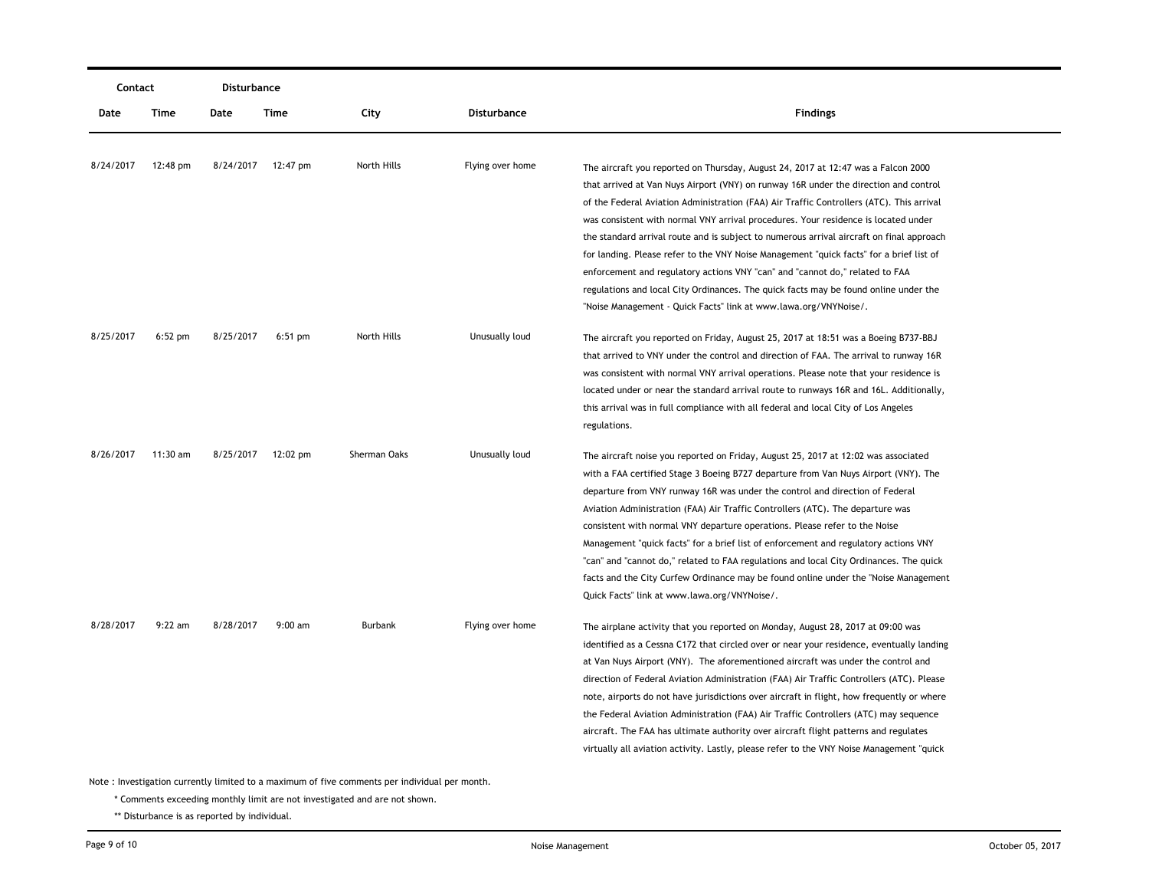| Contact   |            | Disturbance |                    |              |                    |                                                                                           |
|-----------|------------|-------------|--------------------|--------------|--------------------|-------------------------------------------------------------------------------------------|
| Date      | Time       | Date        | Time               | City         | <b>Disturbance</b> | <b>Findings</b>                                                                           |
|           |            |             |                    |              |                    |                                                                                           |
| 8/24/2017 | 12:48 pm   |             | 8/24/2017 12:47 pm | North Hills  | Flying over home   | The aircraft you reported on Thursday, August 24, 2017 at 12:47 was a Falcon 2000         |
|           |            |             |                    |              |                    | that arrived at Van Nuys Airport (VNY) on runway 16R under the direction and control      |
|           |            |             |                    |              |                    | of the Federal Aviation Administration (FAA) Air Traffic Controllers (ATC). This arrival  |
|           |            |             |                    |              |                    | was consistent with normal VNY arrival procedures. Your residence is located under        |
|           |            |             |                    |              |                    | the standard arrival route and is subject to numerous arrival aircraft on final approach  |
|           |            |             |                    |              |                    | for landing. Please refer to the VNY Noise Management "quick facts" for a brief list of   |
|           |            |             |                    |              |                    | enforcement and regulatory actions VNY "can" and "cannot do," related to FAA              |
|           |            |             |                    |              |                    | regulations and local City Ordinances. The quick facts may be found online under the      |
|           |            |             |                    |              |                    | "Noise Management - Quick Facts" link at www.lawa.org/VNYNoise/.                          |
| 8/25/2017 | $6:52$ pm  | 8/25/2017   | $6:51$ pm          | North Hills  | Unusually loud     | The aircraft you reported on Friday, August 25, 2017 at 18:51 was a Boeing B737-BBJ       |
|           |            |             |                    |              |                    | that arrived to VNY under the control and direction of FAA. The arrival to runway 16R     |
|           |            |             |                    |              |                    | was consistent with normal VNY arrival operations. Please note that your residence is     |
|           |            |             |                    |              |                    | located under or near the standard arrival route to runways 16R and 16L. Additionally,    |
|           |            |             |                    |              |                    | this arrival was in full compliance with all federal and local City of Los Angeles        |
|           |            |             |                    |              |                    | regulations.                                                                              |
| 8/26/2017 | $11:30$ am | 8/25/2017   | 12:02 pm           | Sherman Oaks | Unusually loud     | The aircraft noise you reported on Friday, August 25, 2017 at 12:02 was associated        |
|           |            |             |                    |              |                    | with a FAA certified Stage 3 Boeing B727 departure from Van Nuys Airport (VNY). The       |
|           |            |             |                    |              |                    | departure from VNY runway 16R was under the control and direction of Federal              |
|           |            |             |                    |              |                    | Aviation Administration (FAA) Air Traffic Controllers (ATC). The departure was            |
|           |            |             |                    |              |                    | consistent with normal VNY departure operations. Please refer to the Noise                |
|           |            |             |                    |              |                    | Management "quick facts" for a brief list of enforcement and regulatory actions VNY       |
|           |            |             |                    |              |                    | "can" and "cannot do," related to FAA regulations and local City Ordinances. The quick    |
|           |            |             |                    |              |                    | facts and the City Curfew Ordinance may be found online under the "Noise Management       |
|           |            |             |                    |              |                    | Quick Facts" link at www.lawa.org/VNYNoise/.                                              |
| 8/28/2017 | $9:22$ am  | 8/28/2017   | $9:00$ am          | Burbank      | Flying over home   | The airplane activity that you reported on Monday, August 28, 2017 at 09:00 was           |
|           |            |             |                    |              |                    | identified as a Cessna C172 that circled over or near your residence, eventually landing  |
|           |            |             |                    |              |                    | at Van Nuys Airport (VNY). The aforementioned aircraft was under the control and          |
|           |            |             |                    |              |                    | direction of Federal Aviation Administration (FAA) Air Traffic Controllers (ATC). Please  |
|           |            |             |                    |              |                    | note, airports do not have jurisdictions over aircraft in flight, how frequently or where |
|           |            |             |                    |              |                    | the Federal Aviation Administration (FAA) Air Traffic Controllers (ATC) may sequence      |
|           |            |             |                    |              |                    | aircraft. The FAA has ultimate authority over aircraft flight patterns and regulates      |
|           |            |             |                    |              |                    | virtually all aviation activity. Lastly, please refer to the VNY Noise Management "quick  |
|           |            |             |                    |              |                    |                                                                                           |

\* Comments exceeding monthly limit are not investigated and are not shown.